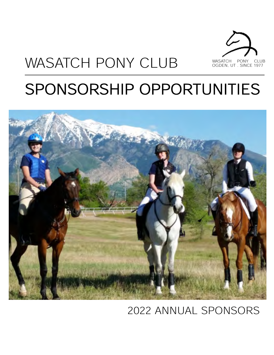

# WASATCH PONY CLUB

# SPONSORSHIP OPPORTUNITIES



### 2022 ANNUAL SPONSORS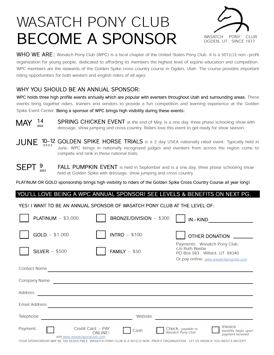## WASATCH PONY CLUB BECOME A SPONSOR WASATCH PONY CLUB



WHO WE ARE: Wasatch Pony Club (WPC) is a local chapter of the United States Pony Club. It is a 501(c)3 non-profit organization for young people, dedicated to affording its members the highest level of equine education and competition. WPC members are the stewards of the Golden Spike cross country course in Ogden, Utah. The course provides important riding opportunities for both western and english riders of all ages.

#### WHY YOU SHOULD BE AN ANNUAL SPONSOR:

WPC holds three high profile events annually which are popular with eventers throughout Utah and surrounding areas. These events bring together riders, trainers and vendors to provide a fun competition and learning experience at the Golden Spike Event Center. Being a sponsor of WPC brings high visibility during these events:

SPRING CHICKEN EVENT at the end of May, is a one day, three phase schooling show with dressage, show jumping and cross country. Riders love this event to get ready for show season. MAY 14 2022

 $JUNE$   $^{10-12}$  GOLDEN SPIKE HORSE TRIALS is a 2 day USEA nationally rated event. Typically held in June, WPC brings in nationally recognized judges and eventers from across the region come to compete and rank in these national trials.

FALL PUMPKIN EVENT is held in September and is a one day, three phase schooling show held at Golden Spike with dressage, show jumping and cross country. SEPT  $_{2022}^9$ 

PLATINUM OR GOLD sponsorship brings high visibility to riders of the Golden Spike Cross Country Course all year long!

#### YOU'LL LOVE BEING A WPC ANNUAL SPONSOR! SEE LEVELS & BENEFITS ON NEXT PG.

#### YES! I WANT TO BE AN ANNUAL SPONSOR OF WASATCH PONY CLUB AT THE LEVEL OF:

| PLATINUM $-$ \$3,000                                           | BRONZE/DIVISION - \$300 | IN-KIND                                                                                                                   |  |  |  |  |  |
|----------------------------------------------------------------|-------------------------|---------------------------------------------------------------------------------------------------------------------------|--|--|--|--|--|
| $GOLD - $1,000$                                                | <b>INTRO</b> - \$100    | <b>OTHER DONATION</b>                                                                                                     |  |  |  |  |  |
| <b>SILVER</b> - \$500                                          | FAMILY $-$ \$50         | Payments: Wasatch Pony Club<br>c/o Ruth Beebe<br>PO Box 583 . Willard, UT 84340<br>Or pay online: www.wasatchponyclub.com |  |  |  |  |  |
| Contact Name                                                   |                         |                                                                                                                           |  |  |  |  |  |
| Company Name                                                   |                         |                                                                                                                           |  |  |  |  |  |
| Address                                                        |                         |                                                                                                                           |  |  |  |  |  |
| Email Address                                                  |                         |                                                                                                                           |  |  |  |  |  |
| Telephone<br>Website                                           |                         |                                                                                                                           |  |  |  |  |  |
| Credit Card - PAY<br>Payment:<br>visit www.wasatchponyclub.com | Cash<br><b>ONLINE!</b>  | Invoice<br>Check, payable to<br>Wasatch Pony Club<br>benefits begin upon<br>payment received                              |  |  |  |  |  |

YOUR SPONSORSHIP MAY BE TAX DEDUCTIBLE. WASATCH PONY CLUB IS A 501(C)3 NON-PROFIT ORGANIZATION. LET US KNOW IF YOU NEED A RECEIPT.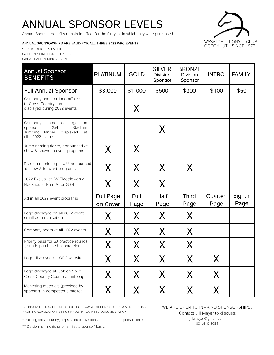### ANNUAL SPONSOR LEVELS

Annual Sponsor benefits remain in effect for the full year in which they were purchased.

#### ANNUAL SPONSORSHIPS ARE VALID FOR ALL THREE 2022 WPC EVENTS:

SPRING CHICKEN EVENT GOLDEN SPIKE HORSE TRIALS GREAT FALL PUMPKIN EVENT



| <b>Annual Sponsor</b><br><b>BENEFITS</b>                                                                                         | <b>PLATINUM</b>              | <b>GOLD</b>  | <b>SILVER</b><br><b>Division</b><br>Sponsor | <b>BRONZE</b><br><b>Division</b><br>Sponsor | <b>INTRO</b>    | <b>FAMILY</b>  |
|----------------------------------------------------------------------------------------------------------------------------------|------------------------------|--------------|---------------------------------------------|---------------------------------------------|-----------------|----------------|
| <b>Full Annual Sponsor</b>                                                                                                       | \$3,000                      | \$1,000      | \$500                                       | \$300                                       | \$100           | \$50           |
| Company name or logo affixed<br>to Cross Country Jump*<br>displayed during 2022 events                                           |                              | X            |                                             |                                             |                 |                |
| Company<br>logo<br>name<br><b>or</b><br>on<br>sponsor<br>2x4'<br>Stadium<br>Jumping Banner<br>displayed<br>at<br>all 2022 events |                              |              | X                                           |                                             |                 |                |
| Jump naming rights, announced at<br>show & shown in event programs                                                               | X                            | X            |                                             |                                             |                 |                |
| Division naming rights,** announced<br>at show & in event programs                                                               | X                            | X.           | X.                                          | X                                           |                 |                |
| 2022 Exclusive: RV Electric-only<br>Hookups at Barn A for GSHT                                                                   | X                            | X            | X                                           |                                             |                 |                |
| Ad in all 2022 event programs                                                                                                    | <b>Full Page</b><br>on Cover | Full<br>Page | Half<br>Page                                | <b>Third</b><br>Page                        | Quarter<br>Page | Eighth<br>Page |
| Logo displayed on all 2022 event<br>email communication                                                                          | X                            | X            | X                                           | X                                           |                 |                |
| Company booth at all 2022 events                                                                                                 | X                            | X            | X                                           | X                                           |                 |                |
| Priority pass for SJ practice rounds<br>(rounds purchased separately)                                                            | X                            | X            | X                                           | $\sf X$                                     |                 |                |
| Logo displayed on WPC website                                                                                                    | X                            | X            | X                                           | X                                           | X               |                |
| Logo displayed at Golden Spike<br>Cross Country Course on info sign                                                              | X                            | X            | X                                           | X                                           | X               |                |
| Marketing materials (provided by<br>sponsor) in competitor's packet                                                              | X                            | X            | X                                           | X                                           | X               |                |

SPONSORSHIP MAY BE TAX DEDUCTIBLE. WASATCH PONY CLUB IS A 501(C)3 NON-PROFIT ORGANIZATION. LET US KNOW IF YOU NEED DOCUMENTATION.

WE ARE OPEN TO IN-KIND SPONSORSHIPS. Contact Jill Mayer to discuss: jill.mayer@gmail.com 801.510.8084

\* Existing cross country jumps selected by sponsor on a "first to sponsor" basis.

\*\* Division naming rights on a "first to sponsor" basis.